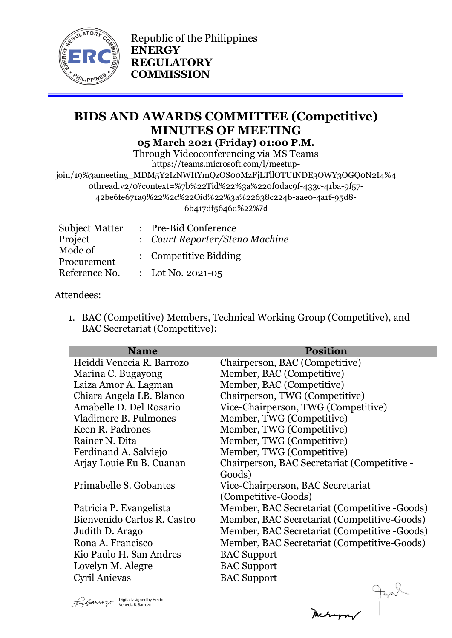

# **BIDS AND AWARDS COMMITTEE (Competitive) MINUTES OF MEETING 05 March 2021 (Friday) 01:00 P.M.**

Through Videoconferencing via MS Teams [https://teams.microsoft.com/l/meetup-](https://teams.microsoft.com/l/meetup-join/19%3ameeting_MDM5Y2IzNWItYmQzOS00MzFjLTllOTUtNDE3OWY3OGQ0N2I4%40thread.v2/0?context=%7b%22Tid%22%3a%220f0dac9f-433c-41ba-9f57-42be6fe671a9%22%2c%22Oid%22%3a%22638c224b-aae0-4a1f-95d8-6b417df5646d%22%7d)

[join/19%3ameeting\\_MDM5Y2IzNWItYmQzOS00MzFjLTllOTUtNDE3OWY3OGQ0N2I4%4](https://teams.microsoft.com/l/meetup-join/19%3ameeting_MDM5Y2IzNWItYmQzOS00MzFjLTllOTUtNDE3OWY3OGQ0N2I4%40thread.v2/0?context=%7b%22Tid%22%3a%220f0dac9f-433c-41ba-9f57-42be6fe671a9%22%2c%22Oid%22%3a%22638c224b-aae0-4a1f-95d8-6b417df5646d%22%7d) [0thread.v2/0?context=%7b%22Tid%22%3a%220f0dac9f-433c-41ba-9f57-](https://teams.microsoft.com/l/meetup-join/19%3ameeting_MDM5Y2IzNWItYmQzOS00MzFjLTllOTUtNDE3OWY3OGQ0N2I4%40thread.v2/0?context=%7b%22Tid%22%3a%220f0dac9f-433c-41ba-9f57-42be6fe671a9%22%2c%22Oid%22%3a%22638c224b-aae0-4a1f-95d8-6b417df5646d%22%7d) [42be6fe671a9%22%2c%22Oid%22%3a%22638c224b-aae0-4a1f-95d8-](https://teams.microsoft.com/l/meetup-join/19%3ameeting_MDM5Y2IzNWItYmQzOS00MzFjLTllOTUtNDE3OWY3OGQ0N2I4%40thread.v2/0?context=%7b%22Tid%22%3a%220f0dac9f-433c-41ba-9f57-42be6fe671a9%22%2c%22Oid%22%3a%22638c224b-aae0-4a1f-95d8-6b417df5646d%22%7d) [6b417df5646d%2](https://teams.microsoft.com/l/meetup-join/19%3ameeting_MDM5Y2IzNWItYmQzOS00MzFjLTllOTUtNDE3OWY3OGQ0N2I4%40thread.v2/0?context=%7b%22Tid%22%3a%220f0dac9f-433c-41ba-9f57-42be6fe671a9%22%2c%22Oid%22%3a%22638c224b-aae0-4a1f-95d8-6b417df5646d%22%7d)2%7d

| <b>Subject Matter</b> | : Pre-Bid Conference           |
|-----------------------|--------------------------------|
| Project               | : Court Reporter/Steno Machine |
| Mode of               | : Competitive Bidding          |
| Procurement           |                                |
| Reference No.         | : Lot No. 2021-05              |

## Attendees:

1. BAC (Competitive) Members, Technical Working Group (Competitive), and BAC Secretariat (Competitive):

| <b>Name</b>                 | <b>Position</b>                              |
|-----------------------------|----------------------------------------------|
| Heiddi Venecia R. Barrozo   | Chairperson, BAC (Competitive)               |
| Marina C. Bugayong          | Member, BAC (Competitive)                    |
| Laiza Amor A. Lagman        | Member, BAC (Competitive)                    |
| Chiara Angela LB. Blanco    | Chairperson, TWG (Competitive)               |
| Amabelle D. Del Rosario     | Vice-Chairperson, TWG (Competitive)          |
| Vladimere B. Pulmones       | Member, TWG (Competitive)                    |
| Keen R. Padrones            | Member, TWG (Competitive)                    |
| Rainer N. Dita              | Member, TWG (Competitive)                    |
| Ferdinand A. Salviejo       | Member, TWG (Competitive)                    |
| Arjay Louie Eu B. Cuanan    | Chairperson, BAC Secretariat (Competitive -  |
|                             | Goods)                                       |
| Primabelle S. Gobantes      | Vice-Chairperson, BAC Secretariat            |
|                             | (Competitive-Goods)                          |
| Patricia P. Evangelista     | Member, BAC Secretariat (Competitive -Goods) |
| Bienvenido Carlos R. Castro | Member, BAC Secretariat (Competitive-Goods)  |
| Judith D. Arago             | Member, BAC Secretariat (Competitive -Goods) |
| Rona A. Francisco           | Member, BAC Secretariat (Competitive-Goods)  |
| Kio Paulo H. San Andres     | <b>BAC</b> Support                           |
| Lovelyn M. Alegre           | <b>BAC</b> Support                           |
| Cyril Anievas               | <b>BAC Support</b>                           |
|                             |                                              |

Digitally signed by Heiddi Venecia R. Barrozo

Meturn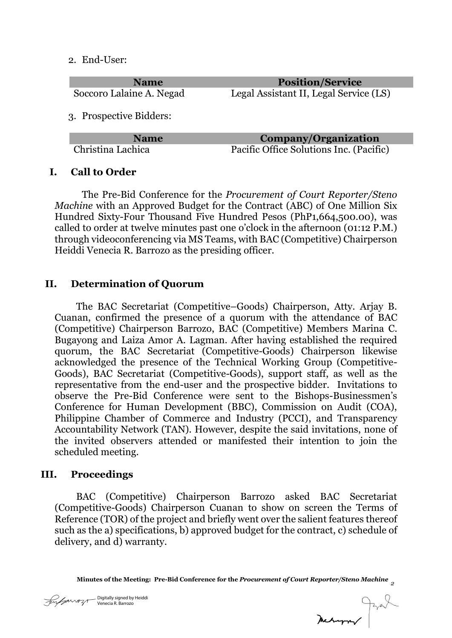2. End-User:

| <b>Name</b>              | <b>Position/Service</b>                 |
|--------------------------|-----------------------------------------|
| Soccoro Lalaine A. Negad | Legal Assistant II, Legal Service (LS)  |
|                          |                                         |
| 3. Prospective Bidders:  |                                         |
|                          |                                         |
| <b>Name</b>              | <b>Company/Organization</b>             |
| Christina Lachica        | Pacific Office Solutions Inc. (Pacific) |

**I. Call to Order**

The Pre-Bid Conference for the *Procurement of Court Reporter/Steno Machine* with an Approved Budget for the Contract (ABC) of One Million Six Hundred Sixty-Four Thousand Five Hundred Pesos (PhP1,664,500.00), was called to order at twelve minutes past one o'clock in the afternoon (01:12 P.M.) through videoconferencing via MS Teams, with BAC (Competitive) Chairperson Heiddi Venecia R. Barrozo as the presiding officer.

## **II. Determination of Quorum**

The BAC Secretariat (Competitive–Goods) Chairperson, Atty. Arjay B. Cuanan, confirmed the presence of a quorum with the attendance of BAC (Competitive) Chairperson Barrozo, BAC (Competitive) Members Marina C. Bugayong and Laiza Amor A. Lagman. After having established the required quorum, the BAC Secretariat (Competitive-Goods) Chairperson likewise acknowledged the presence of the Technical Working Group (Competitive-Goods), BAC Secretariat (Competitive-Goods), support staff, as well as the representative from the end-user and the prospective bidder. Invitations to observe the Pre-Bid Conference were sent to the Bishops-Businessmen's Conference for Human Development (BBC), Commission on Audit (COA), Philippine Chamber of Commerce and Industry (PCCI), and Transparency Accountability Network (TAN). However, despite the said invitations, none of the invited observers attended or manifested their intention to join the scheduled meeting.

#### **III. Proceedings**

BAC (Competitive) Chairperson Barrozo asked BAC Secretariat (Competitive-Goods) Chairperson Cuanan to show on screen the Terms of Reference (TOR) of the project and briefly went over the salient features thereof such as the a) specifications, b) approved budget for the contract, c) schedule of delivery, and d) warranty.

**Minutes of the Meeting: Pre-Bid Conference for the** *Procurement of Court Reporter/Steno Machine 2*

ally signed by Heiddi ria R. Barrozo

Medurary Prot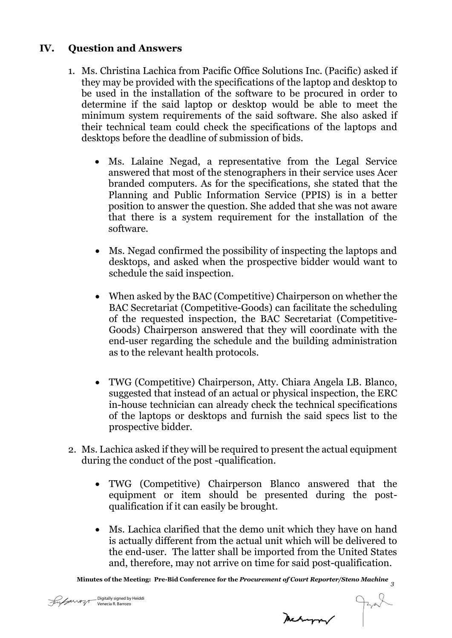## **IV. Question and Answers**

- 1. Ms. Christina Lachica from Pacific Office Solutions Inc. (Pacific) asked if they may be provided with the specifications of the laptop and desktop to be used in the installation of the software to be procured in order to determine if the said laptop or desktop would be able to meet the minimum system requirements of the said software. She also asked if their technical team could check the specifications of the laptops and desktops before the deadline of submission of bids.
	- Ms. Lalaine Negad, a representative from the Legal Service answered that most of the stenographers in their service uses Acer branded computers. As for the specifications, she stated that the Planning and Public Information Service (PPIS) is in a better position to answer the question. She added that she was not aware that there is a system requirement for the installation of the software.
	- Ms. Negad confirmed the possibility of inspecting the laptops and desktops, and asked when the prospective bidder would want to schedule the said inspection.
	- When asked by the BAC (Competitive) Chairperson on whether the BAC Secretariat (Competitive-Goods) can facilitate the scheduling of the requested inspection, the BAC Secretariat (Competitive-Goods) Chairperson answered that they will coordinate with the end-user regarding the schedule and the building administration as to the relevant health protocols.
	- TWG (Competitive) Chairperson, Atty. Chiara Angela LB. Blanco, suggested that instead of an actual or physical inspection, the ERC in-house technician can already check the technical specifications of the laptops or desktops and furnish the said specs list to the prospective bidder.
- 2. Ms. Lachica asked if they will be required to present the actual equipment during the conduct of the post -qualification.
	- TWG (Competitive) Chairperson Blanco answered that the equipment or item should be presented during the postqualification if it can easily be brought.
	- Ms. Lachica clarified that the demo unit which they have on hand is actually different from the actual unit which will be delivered to the end-user. The latter shall be imported from the United States and, therefore, may not arrive on time for said post-qualification.

**Minutes of the Meeting: Pre-Bid Conference for the** *Procurement of Court Reporter/Steno Machine 3*

Meturn Just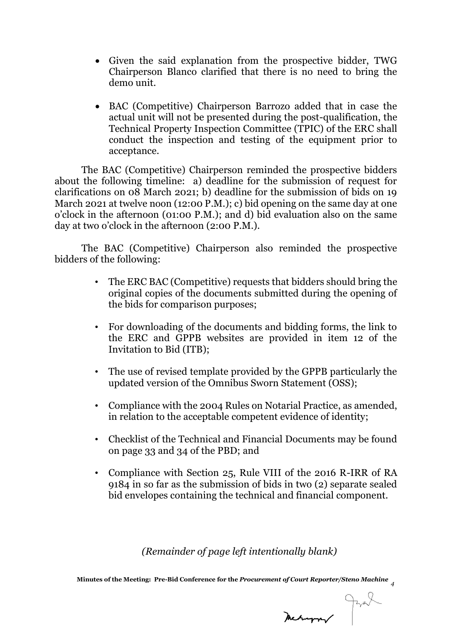- Given the said explanation from the prospective bidder, TWG Chairperson Blanco clarified that there is no need to bring the demo unit.
- BAC (Competitive) Chairperson Barrozo added that in case the actual unit will not be presented during the post-qualification, the Technical Property Inspection Committee (TPIC) of the ERC shall conduct the inspection and testing of the equipment prior to acceptance.

The BAC (Competitive) Chairperson reminded the prospective bidders about the following timeline: a) deadline for the submission of request for clarifications on 08 March 2021; b) deadline for the submission of bids on 19 March 2021 at twelve noon (12:00 P.M.); c) bid opening on the same day at one o'clock in the afternoon (01:00 P.M.); and d) bid evaluation also on the same day at two o'clock in the afternoon (2:00 P.M.).

The BAC (Competitive) Chairperson also reminded the prospective bidders of the following:

- The ERC BAC (Competitive) requests that bidders should bring the original copies of the documents submitted during the opening of the bids for comparison purposes;
- For downloading of the documents and bidding forms, the link to the ERC and GPPB websites are provided in item 12 of the Invitation to Bid (ITB);
- The use of revised template provided by the GPPB particularly the updated version of the Omnibus Sworn Statement (OSS);
- Compliance with the 2004 Rules on Notarial Practice, as amended, in relation to the acceptable competent evidence of identity;
- Checklist of the Technical and Financial Documents may be found on page 33 and 34 of the PBD; and
- Compliance with Section 25, Rule VIII of the 2016 R-IRR of RA 9184 in so far as the submission of bids in two (2) separate sealed bid envelopes containing the technical and financial component.

*(Remainder of page left intentionally blank)*

**Minutes of the Meeting: Pre-Bid Conference for the** *Procurement of Court Reporter/Steno Machine 4*

Digitally signed by Heiddi Venecia R. Barrozo

Meanpor Jane